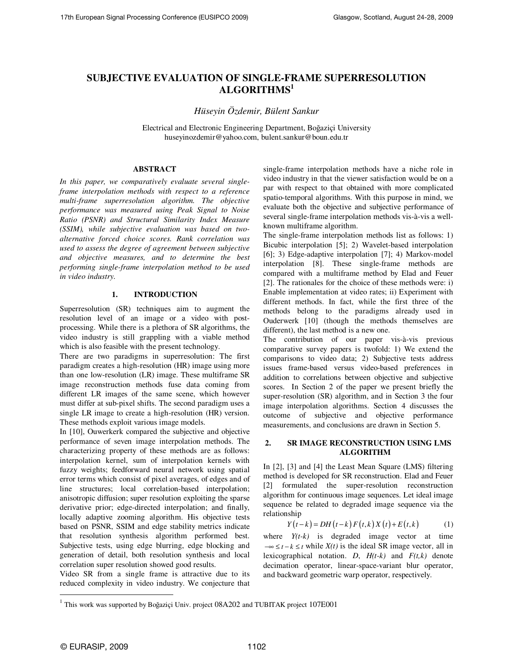# **SUBJECTIVE EVALUATION OF SINGLE-FRAME SUPERRESOLUTION ALGORITHMS<sup>1</sup>**

*Hüseyin Özdemir, Bülent Sankur* 

Electrical and Electronic Engineering Department, Boğaziçi University huseyinozdemir@yahoo.com, bulent.sankur@boun.edu.tr

## **ABSTRACT**

*In this paper, we comparatively evaluate several singleframe interpolation methods with respect to a reference multi-frame superresolution algorithm. The objective performance was measured using Peak Signal to Noise Ratio (PSNR) and Structural Similarity Index Measure (SSIM), while subjective evaluation was based on twoalternative forced choice scores. Rank correlation was used to assess the degree of agreement between subjective and objective measures, and to determine the best performing single-frame interpolation method to be used in video industry.* 

## **1. INTRODUCTION**

Superresolution (SR) techniques aim to augment the resolution level of an image or a video with postprocessing. While there is a plethora of SR algorithms, the video industry is still grappling with a viable method which is also feasible with the present technology.

There are two paradigms in superresolution: The first paradigm creates a high-resolution (HR) image using more than one low-resolution (LR) image. These multiframe SR image reconstruction methods fuse data coming from different LR images of the same scene, which however must differ at sub-pixel shifts. The second paradigm uses a single LR image to create a high-resolution (HR) version. These methods exploit various image models.

In [10], Ouwerkerk compared the subjective and objective performance of seven image interpolation methods. The characterizing property of these methods are as follows: interpolation kernel, sum of interpolation kernels with fuzzy weights; feedforward neural network using spatial error terms which consist of pixel averages, of edges and of line structures; local correlation-based interpolation; anisotropic diffusion; super resolution exploiting the sparse derivative prior; edge-directed interpolation; and finally, locally adaptive zooming algorithm. His objective tests based on PSNR, SSIM and edge stability metrics indicate that resolution synthesis algorithm performed best. Subjective tests, using edge blurring, edge blocking and generation of detail, both resolution synthesis and local correlation super resolution showed good results.

Video SR from a single frame is attractive due to its reduced complexity in video industry. We conjecture that single-frame interpolation methods have a niche role in video industry in that the viewer satisfaction would be on a par with respect to that obtained with more complicated spatio-temporal algorithms. With this purpose in mind, we evaluate both the objective and subjective performance of several single-frame interpolation methods vis-à-vis a wellknown multiframe algorithm.

The single-frame interpolation methods list as follows: 1) Bicubic interpolation [5]; 2) Wavelet-based interpolation [6]; 3) Edge-adaptive interpolation [7]; 4) Markov-model interpolation [8]. These single-frame methods are compared with a multiframe method by Elad and Feuer [2]. The rationales for the choice of these methods were: i) Enable implementation at video rates; ii) Experiment with different methods. In fact, while the first three of the methods belong to the paradigms already used in Ouderwerk [10] (though the methods themselves are different), the last method is a new one.

The contribution of our paper vis-à-vis previous comparative survey papers is twofold: 1) We extend the comparisons to video data; 2) Subjective tests address issues frame-based versus video-based preferences in addition to correlations between objective and subjective scores. In Section 2 of the paper we present briefly the super-resolution (SR) algorithm, and in Section 3 the four image interpolation algorithms. Section 4 discusses the outcome of subjective and objective performance measurements, and conclusions are drawn in Section 5.

## **2. SR IMAGE RECONSTRUCTION USING LMS ALGORITHM**

In [2], [3] and [4] the Least Mean Square (LMS) filtering method is developed for SR reconstruction. Elad and Feuer [2] formulated the super-resolution reconstruction algorithm for continuous image sequences. Let ideal image sequence be related to degraded image sequence via the relationship

$$
Y(t-k) = DH(t-k) F(t,k) X(t) + E(t,k)
$$
 (1)

where  $Y(t-k)$  is degraded image vector at time  $-\infty \le t - k \le t$  while  $X(t)$  is the ideal SR image vector, all in lexicographical notation. *D*,  $H(t-k)$  and  $F(t,k)$  denote decimation operator, linear-space-variant blur operator, and backward geometric warp operator, respectively.

 $\ddot{\phantom{a}}$ 

<sup>&</sup>lt;sup>1</sup> This work was supported by Boğaziçi Univ. project 08A202 and TUBITAK project 107E001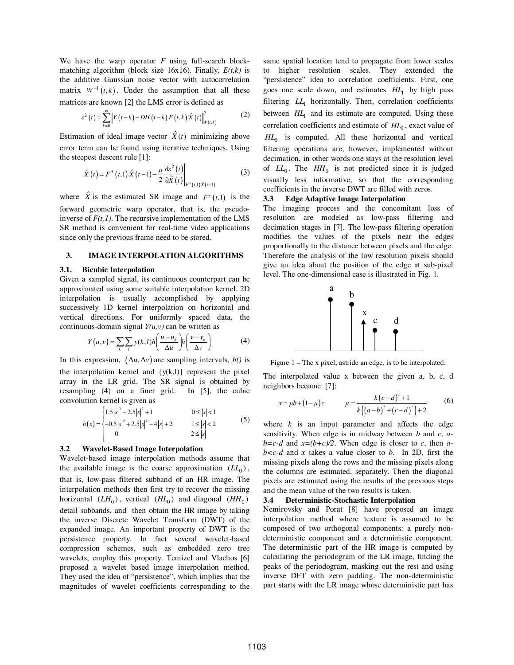We have the warp operator *F* using full-search blockmatching algorithm (block size 16x16). Finally, *E(t,k)* is the additive Gaussian noise vector with autocorrelation matrix  $W^{-1}(t, k)$ . Under the assumption that all these matrices are known [2] the LMS error is defined as

$$
\varepsilon^{2}(t) = \sum_{k=0}^{\infty} \left\| Y(t-k) - DH(t-k) F(t,k) \hat{X}(t) \right\|_{W(t,k)}^{2}
$$
 (2)

Estimation of ideal image vector  $\hat{X}(t)$  minimizing above error term can be found using iterative techniques. Using the steepest descent rule [1]:

$$
\hat{X}(t) = F^{+}(t,1)\hat{X}(t-1) - \frac{\mu}{2} \frac{\partial \varepsilon^{2}(t)}{\partial \hat{X}(t)}\bigg|_{F^{+}(t,1)\hat{X}(t-1)}
$$
(3)

where  $\hat{X}$  is the estimated SR image and  $F^+(t,1)$  is the forward geometric warp operator, that is, the pseudoinverse of  $F(t,1)$ . The recursive implementation of the LMS SR method is convenient for real-time video applications since only the previous frame need to be stored.

## **3. IMAGE INTERPOLATION ALGORITHMS**

#### **3.1. Bicubic Interpolation**

Given a sampled signal, its continuous counterpart can be approximated using some suitable interpolation kernel. 2D interpolation is usually accomplished by applying successively 1D kernel interpolation on horizontal and vertical directions. For uniformly spaced data, the continuous-domain signal  $Y(u, v)$  can be written as

$$
Y(u, v) = \sum_{k} \sum_{l} y(k, l) h\left(\frac{u - u_k}{\Delta u}\right) h\left(\frac{v - v_k}{\Delta v}\right) \tag{4}
$$

In this expression,  $(\Delta u, \Delta v)$  are sampling intervals, *h()* is the interpolation kernel and  $\{y(k,l)\}\$  represent the pixel array in the LR grid. The SR signal is obtained by resampling (4) on a finer grid. In [5], the cubic convolution kernel is given as

$$
h(s) = \begin{cases} 1.5|s|^3 - 2.5|s|^2 + 1 & 0 \le |s| < 1 \\ -0.5|s|^3 + 2.5|s|^2 - 4|s| + 2 & 1 \le |s| < 2 \\ 0 & 2 \le |s| \end{cases}
$$
(5)

## **3.2 Wavelet-Based Image Interpolation**

Wavelet-based image interpolation methods assume that the available image is the coarse approximation  $(LL_0)$ , that is, low-pass filtered subband of an HR image. The interpolation methods then first try to recover the missing horizontal  $(LH_0)$ , vertical  $(HH_0)$  and diagonal  $(HH_0)$ detail subbands, and then obtain the HR image by taking the inverse Discrete Wavelet Transform (DWT) of the expanded image. An important property of DWT is the persistence property. In fact several wavelet-based compression schemes, such as embedded zero tree wavelets, employ this property. Temizel and Vlachos [6] proposed a wavelet based image interpolation method. They used the idea of "persistence", which implies that the magnitudes of wavelet coefficients corresponding to the

same spatial location tend to propagate from lower scales to higher resolution scales. They extended the "persistence" idea to correlation coefficients. First, one goes one scale down, and estimates  $HL_1$  by high pass filtering  $LL_1$  horizontally. Then, correlation coefficients between  $HL_1$  and its estimate are computed. Using these correlation coefficients and estimate of *HL*<sup>0</sup> , exact value of *HL*<sup>0</sup> is computed. All these horizontal and vertical filtering operations are, however, implemented without decimation, in other words one stays at the resolution level of  $LL_0$ . The  $HH_0$  is not predicted since it is judged visually less informative, so that the corresponding coefficients in the inverse DWT are filled with zeros.

#### **3.3 Edge Adaptive Image Interpolation**

The imaging process and the concomitant loss of resolution are modeled as low-pass filtering and decimation stages in [7]. The low-pass filtering operation modifies the values of the pixels near the edges proportionally to the distance between pixels and the edge. Therefore the analysis of the low resolution pixels should give an idea about the position of the edge at sub-pixel level. The one-dimensional case is illustrated in Fig. 1.



Figure 1 – The x pixel, astride an edge, is to be interpolated.

The interpolated value x between the given a, b, c, d neighbors become [7]:

$$
x = \mu b + (1 - \mu)c \qquad \mu = \frac{k(c - d)^2 + 1}{k((a - b)^2 + (c - d)^2) + 2} \qquad (6)
$$

where  $k$  is an input parameter and affects the edge sensitivity. When edge is in midway between *b* and *c*, *a* $b=c-d$  and  $x=(b+c)/2$ . When edge is closer to *c*, then *ab<c-d* and *x* takes a value closer to *b*. In 2D, first the missing pixels along the rows and the missing pixels along the columns are estimated, separately. Then the diagonal pixels are estimated using the results of the previous steps and the mean value of the two results is taken.

### **3.4 Deterministic-Stochastic Interpolation**

Nemirovsky and Porat [8] have proposed an image interpolation method where texture is assumed to be composed of two orthogonal components: a purely nondeterministic component and a deterministic component. The deterministic part of the HR image is computed by calculating the periodogram of the LR image, finding the peaks of the periodogram, masking out the rest and using inverse DFT with zero padding. The non-deterministic part starts with the LR image whose deterministic part has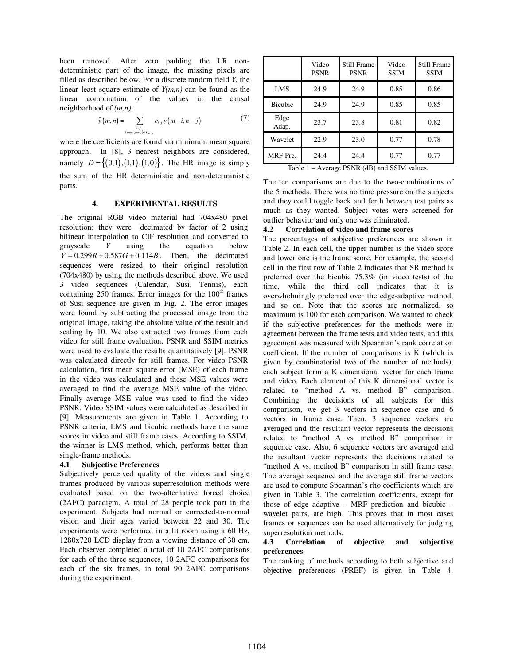been removed. After zero padding the LR nondeterministic part of the image, the missing pixels are filled as described below. For a discrete random field *Y*, the linear least square estimate of *Y(m,n)* can be found as the linear combination of the values in the causal neighborhood of *(m,n)*.

$$
\hat{y}(m,n) = \sum_{\substack{i,j \ (m-i,n-j) \in D_{m,n}}} c_{i,j} y(m-i,n-j) \tag{7}
$$

where the coefficients are found via minimum mean square approach. In [8], 3 nearest neighbors are considered, namely  $D = \{(0,1), (1,1), (1,0)\}$ . The HR image is simply the sum of the HR deterministic and non-deterministic parts.

## **4. EXPERIMENTAL RESULTS**

The original RGB video material had 704x480 pixel resolution; they were decimated by factor of 2 using bilinear interpolation to CIF resolution and converted to grayscale *Y* using the equation below  $Y = 0.299R + 0.587G + 0.114B$ . Then, the decimated sequences were resized to their original resolution (704x480) by using the methods described above. We used 3 video sequences (Calendar, Susi, Tennis), each containing 250 frames. Error images for the  $100<sup>th</sup>$  frames of Susi sequence are given in Fig. 2. The error images were found by subtracting the processed image from the original image, taking the absolute value of the result and scaling by 10. We also extracted two frames from each video for still frame evaluation. PSNR and SSIM metrics were used to evaluate the results quantitatively [9]. PSNR was calculated directly for still frames. For video PSNR calculation, first mean square error (MSE) of each frame in the video was calculated and these MSE values were averaged to find the average MSE value of the video. Finally average MSE value was used to find the video PSNR. Video SSIM values were calculated as described in [9]. Measurements are given in Table 1. According to PSNR criteria, LMS and bicubic methods have the same scores in video and still frame cases. According to SSIM, the winner is LMS method, which, performs better than single-frame methods.

## **4.1 Subjective Preferences**

Subjectively perceived quality of the videos and single frames produced by various superresolution methods were evaluated based on the two-alternative forced choice (2AFC) paradigm. A total of 28 people took part in the experiment. Subjects had normal or corrected-to-normal vision and their ages varied between 22 and 30. The experiments were performed in a lit room using a 60 Hz, 1280x720 LCD display from a viewing distance of 30 cm. Each observer completed a total of 10 2AFC comparisons for each of the three sequences, 10 2AFC comparisons for each of the six frames, in total 90 2AFC comparisons during the experiment.

|                | Video<br><b>PSNR</b> | Still Frame<br><b>PSNR</b> | Video<br><b>SSIM</b> | Still Frame<br><b>SSIM</b> |
|----------------|----------------------|----------------------------|----------------------|----------------------------|
| <b>LMS</b>     | 24.9                 | 24.9                       | 0.85                 | 0.86                       |
| <b>Bicubic</b> | 24.9                 | 24.9                       | 0.85                 | 0.85                       |
| Edge<br>Adap.  | 23.7                 | 23.8                       | 0.81                 | 0.82                       |
| Wavelet        | 22.9                 | 23.0                       | 0.77                 | 0.78                       |
| MRF Pre.       | 24.4                 | 24.4                       | 0.77                 | 0.77                       |

Table 1 – Average PSNR (dB) and SSIM values.

The ten comparisons are due to the two-combinations of the 5 methods. There was no time pressure on the subjects and they could toggle back and forth between test pairs as much as they wanted. Subject votes were screened for outlier behavior and only one was eliminated.

## **4.2 Correlation of video and frame scores**

The percentages of subjective preferences are shown in Table 2. In each cell, the upper number is the video score and lower one is the frame score. For example, the second cell in the first row of Table 2 indicates that SR method is preferred over the bicubic 75.3% (in video tests) of the time, while the third cell indicates that it is overwhelmingly preferred over the edge-adaptive method, and so on. Note that the scores are normalized, so maximum is 100 for each comparison. We wanted to check if the subjective preferences for the methods were in agreement between the frame tests and video tests, and this agreement was measured with Spearman's rank correlation coefficient. If the number of comparisons is K (which is given by combinatorial two of the number of methods), each subject form a K dimensional vector for each frame and video. Each element of this K dimensional vector is related to "method A vs. method B" comparison. Combining the decisions of all subjects for this comparison, we get 3 vectors in sequence case and 6 vectors in frame case. Then, 3 sequence vectors are averaged and the resultant vector represents the decisions related to "method A vs. method B" comparison in sequence case. Also, 6 sequence vectors are averaged and the resultant vector represents the decisions related to "method A vs. method B" comparison in still frame case. The average sequence and the average still frame vectors are used to compute Spearman's rho coefficients which are given in Table 3. The correlation coefficients, except for those of edge adaptive – MRF prediction and bicubic – wavelet pairs, are high. This proves that in most cases frames or sequences can be used alternatively for judging superresolution methods.

## **4.3 Correlation of objective and subjective preferences**

The ranking of methods according to both subjective and objective preferences (PREF) is given in Table 4.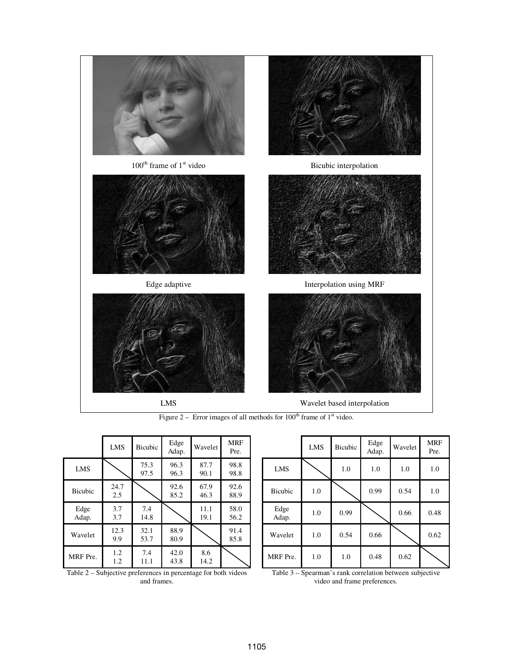

Figure 2 – Error images of all methods for  $100<sup>th</sup>$  frame of  $1<sup>st</sup>$  video.

|                | LMS         | Bicubic      | Edge<br>Adap. | Wavelet      | <b>MRF</b><br>Pre. |
|----------------|-------------|--------------|---------------|--------------|--------------------|
| <b>LMS</b>     |             | 75.3<br>97.5 | 96.3<br>96.3  | 87.7<br>90.1 | 98.8<br>98.8       |
| <b>Bicubic</b> | 24.7<br>2.5 |              | 92.6<br>85.2  | 67.9<br>46.3 | 92.6<br>88.9       |
| Edge<br>Adap.  | 3.7<br>3.7  | 7.4<br>14.8  |               | 11.1<br>19.1 | 58.0<br>56.2       |
| Wavelet        | 12.3<br>9.9 | 32.1<br>53.7 | 88.9<br>80.9  |              | 91.4<br>85.8       |
| MRF Pre.       | 1.2<br>1.2  | 7.4<br>11.1  | 42.0<br>43.8  | 8.6<br>14.2  |                    |

|                | <b>LMS</b> | Bicubic | Edge<br>Adap. | Wavelet | <b>MRF</b><br>Pre. |
|----------------|------------|---------|---------------|---------|--------------------|
| LMS            |            | 1.0     | 1.0           | 1.0     | 1.0                |
| <b>Bicubic</b> | 1.0        |         | 0.99          | 0.54    | 1.0                |
| Edge<br>Adap.  | 1.0        | 0.99    |               | 0.66    | 0.48               |
| Wavelet        | 1.0        | 0.54    | 0.66          |         | 0.62               |
| MRF Pre.       | 1.0        | 1.0     | 0.48          | 0.62    |                    |

Table 2 – Subjective preferences in percentage for both videos and frames.

Table 3 – Spearman's rank correlation between subjective video and frame preferences.